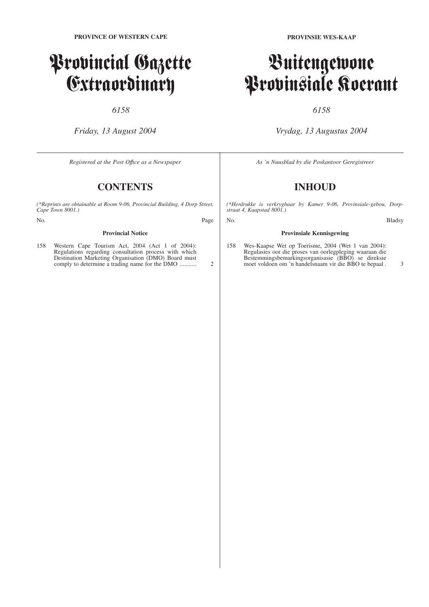## Provincial Gazette Extraordinary

### *6158*

*Friday, 13 August 2004*

*Registered at the Post Offıce as a Newspaper*

### **CONTENTS**

*(\*Reprints are obtainable at Room 9-06, Provincial Building, 4 Dorp Street, Cape Town 8001.)*

No. Page

#### **Provincial Notice**

158 Western Cape Tourism Act, 2004 (Act 1 of 2004): Regulations regarding consultation process with which Destination Marketing Organisation (DMO) Board must comply to determine a trading name for the DMO ........... 2 **PROVINSIE WES-KAAP**

## Buitengewone Provinsiale Koerant

### *6158*

*Vrydag, 13 Augustus 2004*

*As 'n Nuusblad by die Poskantoor Geregistreer*

### **INHOUD**

*(\*Herdrukke is verkrygbaar by Kamer 9-06, Provinsiale-gebou, Dorpstraat 4, Kaapstad 8001.)*

No. Bladsy

### **Provinsiale Kennisgewing**

158 Wes-Kaapse Wet op Toerisme, 2004 (Wet 1 van 2004): Regulasies oor die proses van oorlegpleging waaraan die Bestemmingsbemarkingsorganisasie (BBO) se direksie moet voldoen om 'n handelsnaam vir die BBO te bepaal . 3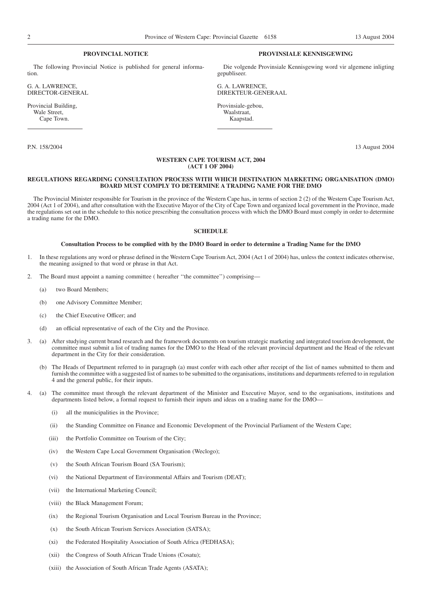#### **PROVINCIAL NOTICE**

The following Provincial Notice is published for general information.

G. A. LAWRENCE, DIRECTOR-GENERAL

Provincial Building, Wale Street, Cape Town.

#### **PROVINSIALE KENNISGEWING**

Die volgende Provinsiale Kennisgewing word vir algemene inligting gepubliseer.

G. A. LAWRENCE, DIREKTEUR-GENERAAL

Provinsiale-gebou, Waalstraat, Kaapstad.

P.N. 158/2004 13 August 2004

#### **WESTERN CAPE TOURISM ACT, 2004 (ACT 1 OF 2004)**

#### **REGULATIONS REGARDING CONSULTATION PROCESS WITH WHICH DESTINATION MARKETING ORGANISATION (DMO) BOARD MUST COMPLY TO DETERMINE A TRADING NAME FOR THE DMO**

The Provincial Minister responsible for Tourism in the province of the Western Cape has, in terms of section 2 (2) of the Western Cape Tourism Act, 2004 (Act 1 of 2004), and after consultation with the Executive Mayor of the City of Cape Town and organized local government in the Province, made the regulations set out in the schedule to this notice prescribing the consultation process with which the DMO Board must comply in order to determine a trading name for the DMO.

#### **SCHEDULE**

#### **Consultation Process to be complied with by the DMO Board in order to determine a Trading Name for the DMO**

- 1. In these regulations any word or phrase defined in the Western Cape Tourism Act, 2004 (Act 1 of 2004) has, unless the context indicates otherwise, the meaning assigned to that word or phrase in that Act.
- 2. The Board must appoint a naming committee ( hereafter ''the committee'') comprising—
	- (a) two Board Members;
	- (b) one Advisory Committee Member;
	- (c) the Chief Executive Officer; and
	- (d) an official representative of each of the City and the Province.
- 3. (a) After studying current brand research and the framework documents on tourism strategic marketing and integrated tourism development, the committee must submit a list of trading names for the DMO to the Head of the relevant provincial department and the Head of the relevant department in the City for their consideration.
	- (b) The Heads of Department referred to in paragraph (a) must confer with each other after receipt of the list of names submitted to them and furnish the committee with a suggested list of names to be submitted to the organisations, institutions and departments referred to in regulation 4 and the general public, for their inputs.
- 4. (a) The committee must through the relevant department of the Minister and Executive Mayor, send to the organisations, institutions and departments listed below, a formal request to furnish their inputs and ideas on a trading name for the DMO—
	- (i) all the municipalities in the Province;
	- (ii) the Standing Committee on Finance and Economic Development of the Provincial Parliament of the Western Cape;
	- (iii) the Portfolio Committee on Tourism of the City;
	- (iv) the Western Cape Local Government Organisation (Weclogo);
	- (v) the South African Tourism Board (SA Tourism);
	- (vi) the National Department of Environmental Affairs and Tourism (DEAT);
	- (vii) the International Marketing Council;
	- (viii) the Black Management Forum;
	- (ix) the Regional Tourism Organisation and Local Tourism Bureau in the Province;
	- (x) the South African Tourism Services Association (SATSA);
	- (xi) the Federated Hospitality Association of South Africa (FEDHASA);
	- (xii) the Congress of South African Trade Unions (Cosatu);
	- (xiii) the Association of South African Trade Agents (ASATA);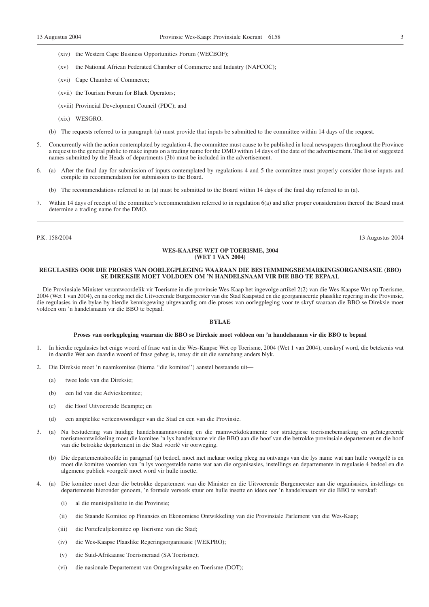- (xiv) the Western Cape Business Opportunities Forum (WECBOF);
- (xv) the National African Federated Chamber of Commerce and Industry (NAFCOC);
- (xvi) Cape Chamber of Commerce;
- (xvii) the Tourism Forum for Black Operators;
- (xviii) Provincial Development Council (PDC); and
- (xix) WESGRO.
- (b) The requests referred to in paragraph (a) must provide that inputs be submitted to the committee within 14 days of the request.
- 5. Concurrently with the action contemplated by regulation 4, the committee must cause to be published in local newspapers throughout the Province a request to the general public to make inputs on a trading name for the DMO within 14 days of the date of the advertisement. The list of suggested names submitted by the Heads of departments (3b) must be included in the advertisement.
- 6. (a) After the final day for submission of inputs contemplated by regulations 4 and 5 the committee must properly consider those inputs and compile its recommendation for submission to the Board.
	- (b) The recommendations referred to in (a) must be submitted to the Board within 14 days of the final day referred to in (a).
- 7. Within 14 days of receipt of the committee's recommendation referred to in regulation 6(a) and after proper consideration thereof the Board must determine a trading name for the DMO.
- 

P.K. 158/2004 13 Augustus 2004

#### **WES-KAAPSE WET OP TOERISME, 2004 (WET 1 VAN 2004)**

#### **REGULASIES OOR DIE PROSES VAN OORLEGPLEGING WAARAAN DIE BESTEMMINGSBEMARKINGSORGANISASIE (BBO) SE DIREKSIE MOET VOLDOEN OM 'N HANDELSNAAM VIR DIE BBO TE BEPAAL**

Die Provinsiale Minister verantwoordelik vir Toerisme in die provinsie Wes-Kaap het ingevolge artikel 2(2) van die Wes-Kaapse Wet op Toerisme, 2004 (Wet 1 van 2004), en na oorleg met die Uitvoerende Burgemeester van die Stad Kaapstad en die georganiseerde plaaslike regering in die Provinsie, die regulasies in die bylae by hierdie kennisgewing uitgevaardig om die proses van oorlegpleging voor te skryf waaraan die BBO se Direksie moet voldoen om 'n handelsnaam vir die BBO te bepaal.

### **BYLAE**

#### **Proses van oorlegpleging waaraan die BBO se Direksie moet voldoen om 'n handelsnaam vir die BBO te bepaal**

- 1. In hierdie regulasies het enige woord of frase wat in die Wes-Kaapse Wet op Toerisme, 2004 (Wet 1 van 2004), omskryf word, die betekenis wat in daardie Wet aan daardie woord of frase geheg is, tensy dit uit die samehang anders blyk.
- 2. Die Direksie moet 'n naamkomitee (hierna ''die komitee'') aanstel bestaande uit—
	- (a) twee lede van die Direksie;
	- (b) een lid van die Advieskomitee;
	- (c) die Hoof Uitvoerende Beampte; en
	- (d) een amptelike verteenwoordiger van die Stad en een van die Provinsie.
- 3. (a) Na bestudering van huidige handelsnaamnavorsing en die raamwerkdokumente oor strategiese toerismebemarking en geïntegreerde toerismeontwikkeling moet die komitee 'n lys handelsname vir die BBO aan die hoof van die betrokke provinsiale departement en die hoof van die betrokke departement in die Stad voorlê vir oorweging.
	- (b) Die departementshoofde in paragraaf (a) bedoel, moet met mekaar oorleg pleeg na ontvangs van die lys name wat aan hulle voorgelê is en moet die komitee voorsien van 'n lys voorgestelde name wat aan die organisasies, instellings en departemente in regulasie 4 bedoel en die algemene publiek voorgelê moet word vir hulle insette.
- 4. (a) Die komitee moet deur die betrokke departement van die Minister en die Uitvoerende Burgemeester aan die organisasies, instellings en departemente hieronder genoem, 'n formele versoek stuur om hulle insette en idees oor 'n handelsnaam vir die BBO te verskaf:
	- (i) al die munisipaliteite in die Provinsie;
	- (ii) die Staande Komitee op Finansies en Ekonomiese Ontwikkeling van die Provinsiale Parlement van die Wes-Kaap;
	- (iii) die Portefeuljekomitee op Toerisme van die Stad;
	- (iv) die Wes-Kaapse Plaaslike Regeringsorganisasie (WEKPRO);
	- (v) die Suid-Afrikaanse Toerismeraad (SA Toerisme);
	- (vi) die nasionale Departement van Omgewingsake en Toerisme (DOT);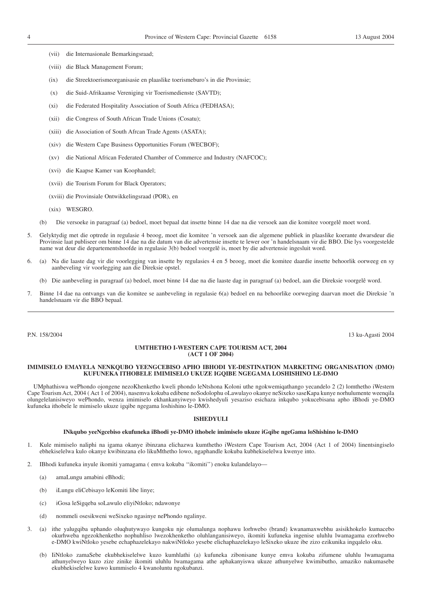- (vii) die Internasionale Bemarkingsraad;
- (viii) die Black Management Forum;
- (ix) die Streektoerismeorganisasie en plaaslike toerismeburo's in die Provinsie;
- (x) die Suid-Afrikaanse Vereniging vir Toerismedienste (SAVTD);
- (xi) die Federated Hospitality Association of South Africa (FEDHASA);
- (xii) die Congress of South African Trade Unions (Cosatu);
- (xiii) die Association of South Afrcan Trade Agents (ASATA);
- (xiv) die Western Cape Business Opportunities Forum (WECBOF);
- (xv) die National African Federated Chamber of Commerce and Industry (NAFCOC);
- (xvi) die Kaapse Kamer van Koophandel;
- (xvii) die Tourism Forum for Black Operators;
- (xviii) die Provinsiale Ontwikkelingsraad (POR), en
- (xix) WESGRO.
- (b) Die versoeke in paragraaf (a) bedoel, moet bepaal dat insette binne 14 dae na die versoek aan die komitee voorgelê moet word.
- 5. Gelyktydig met die optrede in regulasie 4 beoog, moet die komitee 'n versoek aan die algemene publiek in plaaslike koerante dwarsdeur die Provinsie laat publiseer om binne 14 dae na die datum van die advertensie insette te lewer oor 'n handelsnaam vir die BBO. Die lys voorgestelde name wat deur die departementshoofde in regulasie 3(b) bedoel voorgelê is, moet by die advertensie ingesluit word.
- 6. (a) Na die laaste dag vir die voorlegging van insette by regulasies 4 en 5 beoog, moet die komitee daardie insette behoorlik oorweeg en sy aanbeveling vir voorlegging aan die Direksie opstel.
	- (b) Die aanbeveling in paragraaf (a) bedoel, moet binne 14 dae na die laaste dag in paragraaf (a) bedoel, aan die Direksie voorgelê word.
- 7. Binne 14 dae na ontvangs van die komitee se aanbeveling in regulasie 6(a) bedoel en na behoorlike oorweging daarvan moet die Direksie 'n handelsnaam vir die BBO bepaal.

P.N. 158/2004 13 ku-Agasti 2004

#### **UMTHETHO I-WESTERN CAPE TOURISM ACT, 2004 (ACT 1 OF 2004)**

#### **IMIMISELO EMAYELA NENKQUBO YEENGCEBISO APHO IBHODI YE-DESTINATION MARKETING ORGANISATION (DMO) KUFUNEKA ITHOBELE IMIMISELO UKUZE IGQIBE NGEGAMA LOSHISHINO LE-DMO**

UMphathiswa wePhondo ojongene nezoKhenketho kweli phondo leNtshona Koloni uthe ngokwemiqathango yecandelo 2 (2) lomthetho iWestern Cape Tourism Act, 2004 ( Act 1 of 2004), nasemva kokuba edibene noSodolophu oLawulayo okanye neSixeko saseKapa kunye norhulumente weenqila olungelelanisiweyo wePhondo, wenza imimiselo ekhankanyiweyo kwishedyuli yesaziso esichaza inkqubo yokucebisana apho iBhodi ye-DMO kufuneka ithobele le mimiselo ukuze igqibe ngegama loshishino le-DMO.

#### **ISHEDYULI**

#### **INkqubo yeeNgcebiso ekufuneka iBhodi ye-DMO ithobele imimiselo ukuze iGqibe ngeGama loShishino le-DMO**

- 1. Kule mimiselo naliphi na igama okanye ibinzana elichazwa kumthetho iWestern Cape Tourism Act, 2004 (Act 1 of 2004) linentsingiselo ebhekiselelwa kulo okanye kwibinzana elo likuMthetho lowo, ngaphandle kokuba kubhekiselelwa kwenye into.
- 2. IBhodi kufuneka inyule ikomiti yamagama ( emva kokuba ''ikomiti'') enoku kulandelayo—
	- (a) amaLungu amabini eBhodi;
	- (b) iLungu eliCebisayo leKomiti libe linye;
	- (c) iGosa leSigqeba soLawulo eliyiNtloko; ndawonye
	- (d) nommeli osesikweni weSixeko ngasinye nePhondo ngalinye.
- 3. (a) ithe yalugqiba uphando oluqhutywayo kungoku nje olumalunga nophawu lorhwebo (brand) kwanamaxwebhu asisikhokelo kumacebo okurhweba ngezokhenketho nophuhliso lwezokhenketho oluhlanganisiweyo, ikomiti kufuneka ingenise uluhlu lwamagama ezorhwebo e-DMO kwiNtloko yesebe echaphazelekayo nakwiNtloko yesebe elichaphazelekayo leSixeko ukuze ibe zizo ezikunika ingqalelo oku.
	- (b) IiNtloko zamaSebe ekubhekiselelwe kuzo kumhlathi (a) kufuneka zibonisane kunye emva kokuba zifumene uluhlu lwamagama athunyelweyo kuzo zize zinike ikomiti uluhlu lwamagama athe aphakanyiswa ukuze athunyelwe kwimibutho, amaziko nakumasebe ekubhekiselelwe kuwo kummiselo 4 kwanoluntu ngokubanzi.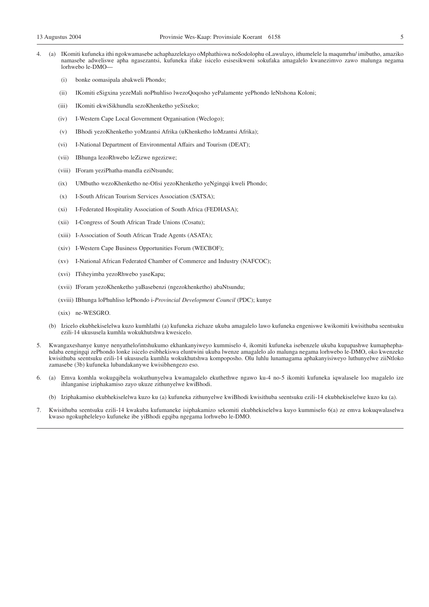- 4. (a) IKomiti kufuneka ithi ngokwamasebe achaphazelekayo oMphathiswa noSodolophu oLawulayo, ithumelele la maqumrhu/ imibutho, amaziko namasebe adweliswe apha ngasezantsi, kufuneka ifake isicelo esisesikweni sokufaka amagalelo kwanezimvo zawo malunga negama lorhwebo le-DMO—
	- (i) bonke oomasipala abakweli Phondo;
	- (ii) IKomiti eSigxina yezeMali noPhuhliso lwezoQoqosho yePalamente yePhondo leNtshona Koloni;
	- (iii) IKomiti ekwiSikhundla sezoKhenketho yeSixeko;
	- (iv) I-Western Cape Local Government Organisation (Weclogo);
	- (v) IBhodi yezoKhenketho yoMzantsi Afrika (uKhenketho loMzantsi Afrika);
	- (vi) I-National Department of Environmental Affairs and Tourism (DEAT);
	- (vii) IBhunga lezoRhwebo leZizwe ngezizwe;
	- (viii) IForam yeziPhatha-mandla eziNtsundu;
	- (ix) UMbutho wezoKhenketho ne-Ofisi yezoKhenketho yeNgingqi kweli Phondo;
	- (x) I-South African Tourism Services Association (SATSA);
	- (xi) I-Federated Hospitality Association of South Africa (FEDHASA);
	- (xii) I-Congress of South African Trade Unions (Cosatu);
	- (xiii) I-Association of South African Trade Agents (ASATA);
	- (xiv) I-Western Cape Business Opportunities Forum (WECBOF);
	- (xv) I-National African Federated Chamber of Commerce and Industry (NAFCOC);
	- (xvi) ITsheyimba yezoRhwebo yaseKapa;
	- (xvii) IForam yezoKhenketho yaBasebenzi (ngezokhenketho) abaNtsundu;
	- (xviii) IBhunga loPhuhliso lePhondo i-*Provincial Development Council* (PDC); kunye
	- (xix) ne-WESGRO.
	- (b) Izicelo ekubhekiselelwa kuzo kumhlathi (a) kufuneka zichaze ukuba amagalelo lawo kufuneka engeniswe kwikomiti kwisithuba seentsuku ezili-14 ukususela kumhla wokukhutshwa kwesicelo.
- 5. Kwangaxeshanye kunye nenyathelo/intshukumo ekhankanyiweyo kummiselo 4, ikomiti kufuneka isebenzele ukuba kupapashwe kumaphephandaba eengingqi zePhondo lonke isicelo esibhekiswa eluntwini ukuba lwenze amagalelo alo malunga negama lorhwebo le-DMO, oko kwenzeke kwisithuba seentsuku ezili-14 ukususela kumhla wokukhutshwa kompoposho. Olu luhlu lunamagama aphakanyisiweyo luthunyelwe ziiNtloko zamasebe (3b) kufuneka lubandakanywe kwisibhengezo eso.
- 6. (a) Emva komhla wokugqibela wokuthunyelwa kwamagalelo ekuthethwe ngawo ku-4 no-5 ikomiti kufuneka iqwalasele loo magalelo ize ihlanganise iziphakamiso zayo ukuze zithunyelwe kwiBhodi.
	- (b) Iziphakamiso ekubhekiselelwa kuzo ku (a) kufuneka zithunyelwe kwiBhodi kwisithuba seentsuku ezili-14 ekubhekiselelwe kuzo ku (a).
- 7. Kwisithuba seentsuku ezili-14 kwakuba kufumaneke isiphakamizo sekomiti ekubhekiselelwa kuyo kummiselo 6(a) ze emva kokuqwalaselwa kwaso ngokupheleleyo kufuneke ibe yiBhodi egqiba ngegama lorhwebo le-DMO.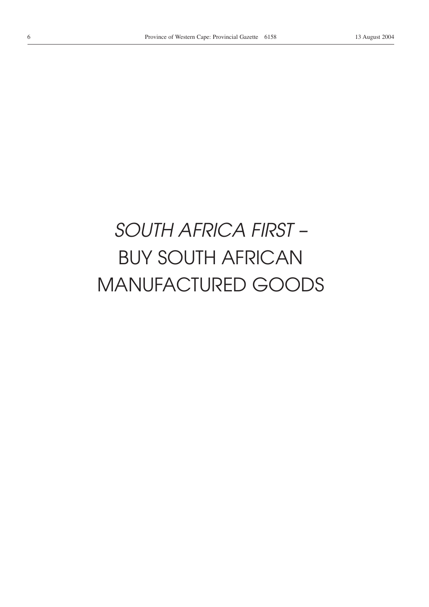# *SOUTH AFRICA FIRST –* BUY SOUTH AFRICAN MANUFACTURED GOODS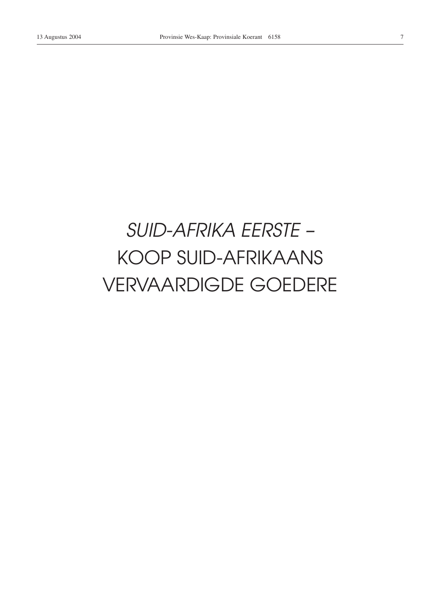## *SUID-AFRIKA EERSTE –* KOOP SUID-AFRIKAANS VERVAARDIGDE GOEDERE